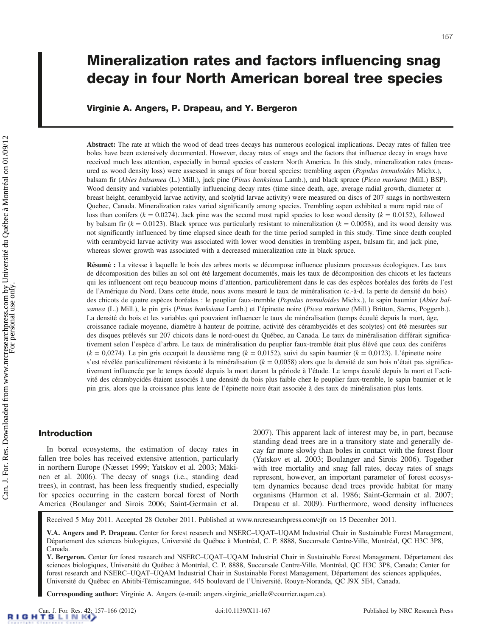Virginie A. Angers, P. Drapeau, and Y. Bergeron

Abstract: The rate at which the wood of dead trees decays has numerous ecological implications. Decay rates of fallen tree boles have been extensively documented. However, decay rates of snags and the factors that influence decay in snags have received much less attention, especially in boreal species of eastern North America. In this study, mineralization rates (measured as wood density loss) were assessed in snags of four boreal species: trembling aspen (Populus tremuloides Michx.), balsam fir (Abies balsamea (L.) Mill.), jack pine (Pinus banksiana Lamb.), and black spruce (Picea mariana (Mill.) BSP). Wood density and variables potentially influencing decay rates (time since death, age, average radial growth, diameter at breast height, cerambycid larvae activity, and scolytid larvae activity) were measured on discs of 207 snags in northwestern Quebec, Canada. Mineralization rates varied significantly among species. Trembling aspen exhibited a more rapid rate of loss than conifers ( $k = 0.0274$ ). Jack pine was the second most rapid species to lose wood density ( $k = 0.0152$ ), followed by balsam fir ( $k = 0.0123$ ). Black spruce was particularly resistant to mineralization ( $k = 0.0058$ ), and its wood density was not significantly influenced by time elapsed since death for the time period sampled in this study. Time since death coupled with cerambycid larvae activity was associated with lower wood densities in trembling aspen, balsam fir, and jack pine, whereas slower growth was associated with a decreased mineralization rate in black spruce.

Résumé : La vitesse à laquelle le bois des arbres morts se décompose influence plusieurs processus écologiques. Les taux de décomposition des billes au sol ont été largement documentés, mais les taux de décomposition des chicots et les facteurs qui les influencent ont reçu beaucoup moins d'attention, particulièrement dans le cas des espèces boréales des forêts de l'est de l'Amérique du Nord. Dans cette étude, nous avons mesuré le taux de minéralisation (c.-à-d. la perte de densité du bois) des chicots de quatre espèces boréales : le peuplier faux-tremble (Populus tremuloides Michx.), le sapin baumier (Abies balsamea (L.) Mill.), le pin gris (Pinus banksiana Lamb.) et l'épinette noire (Picea mariana (Mill.) Britton, Sterns, Poggenb.). La densité du bois et les variables qui pouvaient influencer le taux de minéralisation (temps écoulé depuis la mort, âge, croissance radiale moyenne, diamètre à hauteur de poitrine, activité des cérambycidés et des scolytes) ont été mesurées sur des disques prélevés sur 207 chicots dans le nord-ouest du Québec, au Canada. Le taux de minéralisation différait significativement selon l'espèce d'arbre. Le taux de minéralisation du peuplier faux-tremble était plus élévé que ceux des conifères  $(k = 0.0274)$ . Le pin gris occupait le deuxième rang  $(k = 0.0152)$ , suivi du sapin baumier  $(k = 0.0123)$ . L'épinette noire s'est révélée particulièrement résistante à la minéralisation ( $k = 0.0058$ ) alors que la densité de son bois n'était pas significativement influencée par le temps écoulé depuis la mort durant la période à l'étude. Le temps écoulé depuis la mort et l'activité des cérambycidés étaient associés à une densité du bois plus faible chez le peuplier faux-tremble, le sapin baumier et le pin gris, alors que la croissance plus lente de l'épinette noire était associée à des taux de minéralisation plus lents.

# Introduction

In boreal ecosystems, the estimation of decay rates in fallen tree boles has received extensive attention, particularly in northern Europe (Næsset 1999; Yatskov et al. 2003; Mäkinen et al. 2006). The decay of snags (i.e., standing dead trees), in contrast, has been less frequently studied, especially for species occurring in the eastern boreal forest of North America (Boulanger and Sirois 2006; Saint-Germain et al.

2007). This apparent lack of interest may be, in part, because standing dead trees are in a transitory state and generally decay far more slowly than boles in contact with the forest floor (Yatskov et al. 2003; Boulanger and Sirois 2006). Together with tree mortality and snag fall rates, decay rates of snags represent, however, an important parameter of forest ecosystem dynamics because dead trees provide habitat for many organisms (Harmon et al. 1986; Saint-Germain et al. 2007; Drapeau et al. 2009). Furthermore, wood density influences

Received 5 May 2011. Accepted 28 October 2011. Published at www.nrcresearchpress.com/cjfr on 15 December 2011.

V.A. Angers and P. Drapeau. Center for forest research and NSERC–UQAT–UQAM Industrial Chair in Sustainable Forest Management, Département des sciences biologiques, Université du Québec à Montréal, C. P. 8888, Succursale Centre-Ville, Montréal, QC H3C 3P8, Canada.

Y. Bergeron. Center for forest research and NSERC–UQAT–UQAM Industrial Chair in Sustainable Forest Management, Département des sciences biologiques, Université du Québec à Montréal, C. P. 8888, Succursale Centre-Ville, Montréal, QC H3C 3P8, Canada; Center for forest research and NSERC–UQAT–UQAM Industrial Chair in Sustainable Forest Management, Département des sciences appliquées, Université du Québec en Abitibi-Témiscamingue, 445 boulevard de l'Université, Rouyn-Noranda, QC J9X 5E4, Canada.

Corresponding author: Virginie A. Angers (e-mail: angers.virginie\_arielle@courrier.uqam.ca).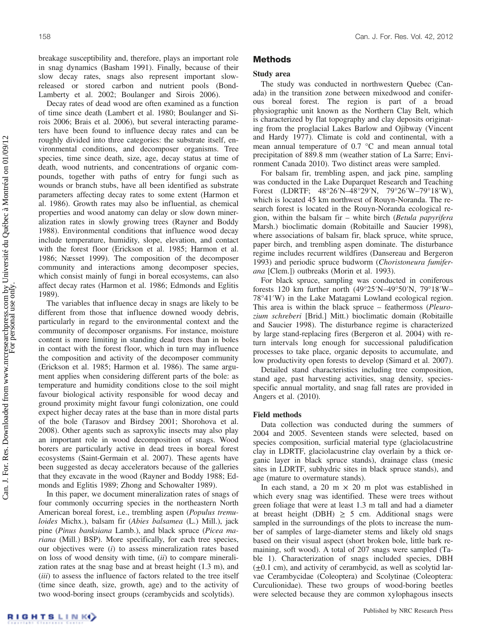breakage susceptibility and, therefore, plays an important role in snag dynamics (Basham 1991). Finally, because of their slow decay rates, snags also represent important slowreleased or stored carbon and nutrient pools (Bond-Lamberty et al. 2002; Boulanger and Sirois 2006).

Decay rates of dead wood are often examined as a function of time since death (Lambert et al. 1980; Boulanger and Sirois 2006; Brais et al. 2006), but several interacting parameters have been found to influence decay rates and can be roughly divided into three categories: the substrate itself, environmental conditions, and decomposer organisms. Tree species, time since death, size, age, decay status at time of death, wood nutrients, and concentrations of organic compounds, together with paths of entry for fungi such as wounds or branch stubs, have all been identified as substrate parameters affecting decay rates to some extent (Harmon et al. 1986). Growth rates may also be influential, as chemical properties and wood anatomy can delay or slow down mineralization rates in slowly growing trees (Rayner and Boddy 1988). Environmental conditions that influence wood decay include temperature, humidity, slope, elevation, and contact with the forest floor (Erickson et al. 1985; Harmon et al. 1986; Næsset 1999). The composition of the decomposer community and interactions among decomposer species, which consist mainly of fungi in boreal ecosystems, can also affect decay rates (Harmon et al. 1986; Edmonds and Eglitis 1989).

The variables that influence decay in snags are likely to be different from those that influence downed woody debris, particularly in regard to the environmental context and the community of decomposer organisms. For instance, moisture content is more limiting in standing dead trees than in boles in contact with the forest floor, which in turn may influence the composition and activity of the decomposer community (Erickson et al. 1985; Harmon et al. 1986). The same argument applies when considering different parts of the bole: as temperature and humidity conditions close to the soil might favour biological activity responsible for wood decay and ground proximity might favour fungi colonization, one could expect higher decay rates at the base than in more distal parts of the bole (Tarasov and Birdsey 2001; Shorohova et al. 2008). Other agents such as saproxylic insects may also play an important role in wood decomposition of snags. Wood borers are particularly active in dead trees in boreal forest ecosystems (Saint-Germain et al. 2007). These agents have been suggested as decay accelerators because of the galleries that they excavate in the wood (Rayner and Boddy 1988; Edmonds and Eglitis 1989; Zhong and Schowalter 1989).

In this paper, we document mineralization rates of snags of four commonly occurring species in the northeastern North American boreal forest, i.e., trembling aspen (Populus tremuloides Michx.), balsam fir (Abies balsamea (L.) Mill.), jack pine (Pinus banksiana Lamb.), and black spruce (Picea mariana (Mill.) BSP). More specifically, for each tree species, our objectives were (i) to assess mineralization rates based on loss of wood density with time, *(ii)* to compare mineralization rates at the snag base and at breast height (1.3 m), and (*iii*) to assess the influence of factors related to the tree itself (time since death, size, growth, age) and to the activity of two wood-boring insect groups (cerambycids and scolytids).

# Methods Study area

The study was conducted in northwestern Quebec (Canada) in the transition zone between mixedwood and coniferous boreal forest. The region is part of a broad physiographic unit known as the Northern Clay Belt, which is characterized by flat topography and clay deposits originating from the proglacial Lakes Barlow and Ojibway (Vincent and Hardy 1977). Climate is cold and continental, with a mean annual temperature of 0.7 °C and mean annual total precipitation of 889.8 mm (weather station of La Sarre; Environment Canada 2010). Two distinct areas were sampled.

For balsam fir, trembling aspen, and jack pine, sampling was conducted in the Lake Duparquet Research and Teaching Forest (LDRTF; 48°26′N–48°29′N, 79°26′W–79°18′W), which is located 45 km northwest of Rouyn-Noranda. The research forest is located in the Rouyn-Noranda ecological region, within the balsam fir – white birch (Betula papyrifera Marsh.) bioclimatic domain (Robitaille and Saucier 1998), where associations of balsam fir, black spruce, white spruce, paper birch, and trembling aspen dominate. The disturbance regime includes recurrent wildfires (Dansereau and Bergeron 1993) and periodic spruce budworm (Choristoneura fumiferana [Clem.]) outbreaks (Morin et al. 1993).

For black spruce, sampling was conducted in coniferous forests 120 km further north (49°25′N–49°50′N, 79°18′W– 78°41′W) in the Lake Matagami Lowland ecological region. This area is within the black spruce – feathermoss (*Pleuro*zium schreberi [Brid.] Mitt.) bioclimatic domain (Robitaille and Saucier 1998). The disturbance regime is characterized by large stand-replacing fires (Bergeron et al. 2004) with return intervals long enough for successional paludification processes to take place, organic deposits to accumulate, and low productivity open forests to develop (Simard et al. 2007).

Detailed stand characteristics including tree composition, stand age, past harvesting activities, snag density, speciesspecific annual mortality, and snag fall rates are provided in Angers et al. (2010).

### Field methods

Data collection was conducted during the summers of 2004 and 2005. Seventeen stands were selected, based on species composition, surficial material type (glaciolacustrine clay in LDRTF, glaciolacustrine clay overlain by a thick organic layer in black spruce stands), drainage class (mesic sites in LDRTF, subhydric sites in black spruce stands), and age (mature to overmature stands).

In each stand, a 20 m  $\times$  20 m plot was established in which every snag was identified. These were trees without green foliage that were at least 1.3 m tall and had a diameter at breast height (DBH)  $\geq$  5 cm. Additional snags were sampled in the surroundings of the plots to increase the number of samples of large-diameter stems and likely old snags based on their visual aspect (short broken bole, little bark remaining, soft wood). A total of 207 snags were sampled (Table 1). Characterization of snags included species, DBH  $(\pm 0.1 \text{ cm})$ , and activity of cerambycid, as well as scolytid larvae Cerambycidae (Coleoptera) and Scolytinae (Coleoptera: Curculionidae). These two groups of wood-boring beetles were selected because they are common xylophagous insects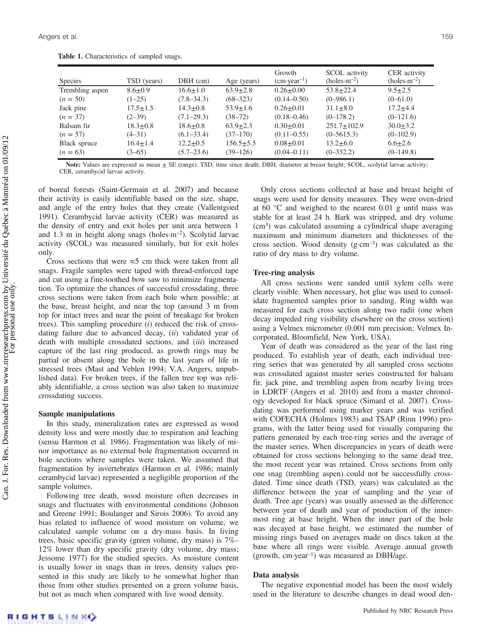| Species         | TSD (years)    | $DBH$ (cm)     | Age (years)     | Growth<br>$(cm \cdot year^{-1})$ | <b>SCOL</b> activity<br>$(holes·m-2)$ | CER activity<br>$(holes·m-2)$ |
|-----------------|----------------|----------------|-----------------|----------------------------------|---------------------------------------|-------------------------------|
| Trembling aspen | $8.6 + 0.9$    | $16.6 + 1.0$   | $63.9 + 2.8$    | $0.26 + 0.00$                    | $53.8 + 22.4$                         | $9.5 + 2.5$                   |
| $(n = 50)$      | $(1-25)$       | $(7.8 - 34.3)$ | $(68 - 323)$    | $(0.14 - 0.50)$                  | $(0 - 986.1)$                         | $(0-61.0)$                    |
| Jack pine       | $17.5 \pm 1.5$ | $14.3 \pm 0.8$ | $53.9 \pm 1.6$  | $0.26 \pm 0.01$                  | $31.1 \pm 8.0$                        | $17.2 + 4.4$                  |
| $(n = 37)$      | $(2-39)$       | $(7.1 - 29.3)$ | $(38-72)$       | $(0.18 - 0.46)$                  | $(0-178.2)$                           | $(0-121.6)$                   |
| Balsam fir      | $18.3 \pm 0.8$ | $18.6 \pm 0.8$ | $63.9 \pm 2.3$  | $0.30 \pm 0.01$                  | $251.7 \pm 102.9$                     | $30.0 \pm 3.2$                |
| $(n = 57)$      | $(4-31)$       | $(6.1 - 33.4)$ | $(37-170)$      | $(0.11 - 0.55)$                  | $(0-5615.3)$                          | $(0-102.9)$                   |
| Black spruce    | $16.4 \pm 1.4$ | $12.2 \pm 0.5$ | $156.5 \pm 5.5$ | $0.08 \pm 0.01$                  | $13.2 \pm 6.0$                        | $6.6 \pm 2.6$                 |
| $(n = 63)$      | $(3-65)$       | $(5.7 - 23.6)$ | $(39-126)$      | $(0.04 - 0.11)$                  | $(0-332.2)$                           | $(0-149.8)$                   |

Table 1. Characteristics of sampled snags.

Note: Values are expressed as mean  $\pm$  SE (range). TSD, time since death; DBH, diameter at breast height; SCOL, scolytid larvae activity; CER, cerambycid larvae activity.

of boreal forests (Saint-Germain et al. 2007) and because their activity is easily identifiable based on the size, shape, and angle of the entry holes that they create (Vallentgoed 1991). Cerambycid larvae activity (CER) was measured as the density of entry and exit holes per unit area between 1 and 1.3 m in height along snags (holes·m–2). Scolytid larvae activity (SCOL) was measured similarly, but for exit holes only.

Cross sections that were  $\approx$ 5 cm thick were taken from all snags. Fragile samples were taped with thread-enforced tape and cut using a fine-toothed bow saw to minimize fragmentation. To optimize the chances of successful crossdating, three cross sections were taken from each bole when possible: at the base, breast height, and near the top (around 3 m from top for intact trees and near the point of breakage for broken trees). This sampling procedure (i) reduced the risk of crossdating failure due to advanced decay, (ii) validated year of death with multiple crossdated sections, and *(iii)* increased capture of the last ring produced, as growth rings may be partial or absent along the bole in the last years of life in stressed trees (Mast and Veblen 1994; V.A. Angers, unpublished data). For broken trees, if the fallen tree top was reliably identifiable, a cross section was also taken to maximize crossdating success.

#### Sample manipulations

In this study, mineralization rates are expressed as wood density loss and were mostly due to respiration and leaching (sensu Harmon et al. 1986). Fragmentation was likely of minor importance as no external bole fragmentation occurred in bole sections where samples were taken. We assumed that fragmentation by invertebrates (Harmon et al. 1986; mainly cerambycid larvae) represented a negligible proportion of the sample volumes.

Following tree death, wood moisture often decreases in snags and fluctuates with environmental conditions (Johnson and Greene 1991; Boulanger and Sirois 2006). To avoid any bias related to influence of wood moisture on volume, we calculated sample volume on a dry-mass basis. In living trees, basic specific gravity (green volume, dry mass) is 7%– 12% lower than dry specific gravity (dry volume, dry mass; Jessome 1977) for the studied species. As moisture content is usually lower in snags than in trees, density values presented in this study are likely to be somewhat higher than those from other studies presented on a green volume basis, but not as much when compared with live wood density.

Only cross sections collected at base and breast height of snags were used for density measures. They were oven-dried at 60 °C and weighed to the nearest 0.01 g until mass was stable for at least 24 h. Bark was stripped, and dry volume  $(cm<sup>3</sup>)$  was calculated assuming a cylindrical shape averaging maximum and minimum diameters and thicknesses of the cross section. Wood density (g·cm–3) was calculated as the ratio of dry mass to dry volume.

### Tree-ring analysis

All cross sections were sanded until xylem cells were clearly visible. When necessary, hot glue was used to consolidate fragmented samples prior to sanding. Ring width was measured for each cross section along two radii (one when decay impeded ring visibility elsewhere on the cross section) using a Velmex micrometer (0.001 mm precision; Velmex Incorporated, Bloomfield, New York, USA).

Year of death was considered as the year of the last ring produced. To establish year of death, each individual treering series that was generated by all sampled cross sections was crossdated against master series constructed for balsam fir, jack pine, and trembling aspen from nearby living trees in LDRTF (Angers et al. 2010) and from a master chronology developed for black spruce (Simard et al. 2007). Crossdating was performed using marker years and was verified with COFECHA (Holmes 1983) and TSAP (Rinn 1996) programs, with the latter being used for visually comparing the pattern generated by each tree-ring series and the average of the master series. When discrepancies in years of death were obtained for cross sections belonging to the same dead tree, the most recent year was retained. Cross sections from only one snag (trembling aspen) could not be successfully crossdated. Time since death (TSD, years) was calculated as the difference between the year of sampling and the year of death. Tree age (years) was usually assessed as the difference between year of death and year of production of the innermost ring at base height. When the inner part of the bole was decayed at base height, we estimated the number of missing rings based on averages made on discs taken at the base where all rings were visible. Average annual growth (growth, cm·year–1) was measured as DBH/age.

#### Data analysis

The negative exponential model has been the most widely used in the literature to describe changes in dead wood den-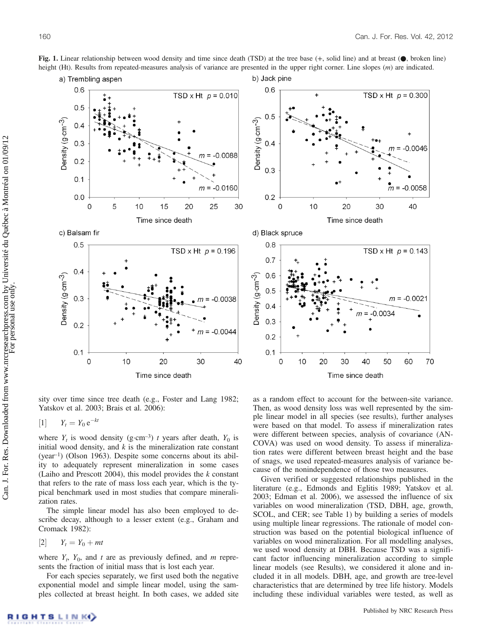

Fig. 1. Linear relationship between wood density and time since death (TSD) at the tree base (+, solid line) and at breast (●, broken line) height (Ht). Results from repeated-measures analysis of variance are presented in the upper right corner. Line slopes (*m*) are indicated. b) Jack pine

 $0.6$ 



sity over time since tree death (e.g., Foster and Lang 1982; Yatskov et al. 2003; Brais et al. 2006):

$$
[1] \qquad Y_t = Y_0 e^{-kt}
$$

where  $Y_t$  is wood density (g·cm<sup>-3</sup>) t years after death,  $Y_0$  is initial wood density, and  $k$  is the mineralization rate constant (year–1) (Olson 1963). Despite some concerns about its ability to adequately represent mineralization in some cases (Laiho and Prescott 2004), this model provides the k constant that refers to the rate of mass loss each year, which is the typical benchmark used in most studies that compare mineralization rates.

The simple linear model has also been employed to describe decay, although to a lesser extent (e.g., Graham and Cromack 1982):

$$
[2] \qquad Y_t = Y_0 + mt
$$

where  $Y_t$ ,  $Y_0$ , and t are as previously defined, and m represents the fraction of initial mass that is lost each year.

For each species separately, we first used both the negative exponential model and simple linear model, using the samples collected at breast height. In both cases, we added site as a random effect to account for the between-site variance. Then, as wood density loss was well represented by the simple linear model in all species (see results), further analyses were based on that model. To assess if mineralization rates were different between species, analysis of covariance (AN-COVA) was used on wood density. To assess if mineralization rates were different between breast height and the base of snags, we used repeated-measures analysis of variance because of the nonindependence of those two measures.

Given verified or suggested relationships published in the literature (e.g., Edmonds and Eglitis 1989; Yatskov et al. 2003; Edman et al. 2006), we assessed the influence of six variables on wood mineralization (TSD, DBH, age, growth, SCOL, and CER; see Table 1) by building a series of models using multiple linear regressions. The rationale of model construction was based on the potential biological influence of variables on wood mineralization. For all modelling analyses, we used wood density at DBH. Because TSD was a significant factor influencing mineralization according to simple linear models (see Results), we considered it alone and included it in all models. DBH, age, and growth are tree-level characteristics that are determined by tree life history. Models including these individual variables were tested, as well as

160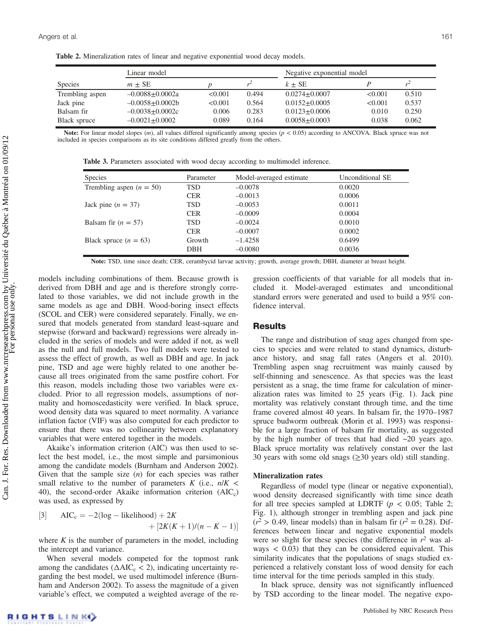|                 | Linear model        |         |       | Negative exponential model |         |       |
|-----------------|---------------------|---------|-------|----------------------------|---------|-------|
| Species         | $m + SE$            |         |       | $k + SE$                   |         |       |
| Trembling aspen | $-0.0088 + 0.0002a$ | < 0.001 | 0.494 | $0.0274 + 0.0007$          | < 0.001 | 0.510 |
| Jack pine       | $-0.0058 + 0.0002b$ | < 0.001 | 0.564 | $0.0152 + 0.0005$          | < 0.001 | 0.537 |
| Balsam fir      | $-0.0038 + 0.0002c$ | 0.006   | 0.283 | $0.0123 + 0.0006$          | 0.010   | 0.250 |
| Black spruce    | $-0.0021 + 0.0002$  | 0.089   | 0.164 | $0.0058 \pm 0.0003$        | 0.038   | 0.062 |

Table 2. Mineralization rates of linear and negative exponential wood decay models.

Note: For linear model slopes  $(m)$ , all values differed significantly among species  $(p < 0.05)$  according to ANCOVA. Black spruce was not included in species comparisons as its site conditions differed greatly from the others.

| <b>Species</b>             | Parameter  | Model-averaged estimate | Unconditional SE |
|----------------------------|------------|-------------------------|------------------|
| Trembling aspen $(n = 50)$ | <b>TSD</b> | $-0.0078$               | 0.0020           |
|                            | <b>CER</b> | $-0.0013$               | 0.0006           |
| Jack pine $(n = 37)$       | <b>TSD</b> | $-0.0053$               | 0.0011           |
|                            | <b>CER</b> | $-0.0009$               | 0.0004           |
| Balsam fir $(n = 57)$      | <b>TSD</b> | $-0.0024$               | 0.0010           |
|                            | <b>CER</b> | $-0.0007$               | 0.0002           |
| Black spruce $(n = 63)$    | Growth     | $-1.4258$               | 0.6499           |
|                            | DBH        | $-0.0080$               | 0.0036           |

Table 3. Parameters associated with wood decay according to multimodel inference.

Note: TSD, time since death; CER, cerambycid larvae activity; growth, average growth; DBH, diameter at breast height.

models including combinations of them. Because growth is derived from DBH and age and is therefore strongly correlated to those variables, we did not include growth in the same models as age and DBH. Wood-boring insect effects (SCOL and CER) were considered separately. Finally, we ensured that models generated from standard least-square and stepwise (forward and backward) regressions were already included in the series of models and were added if not, as well as the null and full models. Two full models were tested to assess the effect of growth, as well as DBH and age. In jack pine, TSD and age were highly related to one another because all trees originated from the same postfire cohort. For this reason, models including those two variables were excluded. Prior to all regression models, assumptions of normality and homoscedasticity were verified. In black spruce, wood density data was squared to meet normality. A variance inflation factor (VIF) was also computed for each predictor to ensure that there was no collinearity between explanatory variables that were entered together in the models.

Akaike's information criterion (AIC) was then used to select the best model, i.e., the most simple and parsimonious among the candidate models (Burnham and Anderson 2002). Given that the sample size  $(n)$  for each species was rather small relative to the number of parameters  $K$  (i.e.,  $n/K <$ 40), the second-order Akaike information criterion  $(AIC<sub>c</sub>)$ was used, as expressed by

½3- AICc ¼ 2ðlog likelihoodÞ þ 2K þ ½2KðK þ 1Þ=ðn K 1Þ-

where  $K$  is the number of parameters in the model, including the intercept and variance.

When several models competed for the topmost rank among the candidates ( $\Delta AIC_c < 2$ ), indicating uncertainty regarding the best model, we used multimodel inference (Burnham and Anderson 2002). To assess the magnitude of a given variable's effect, we computed a weighted average of the regression coefficients of that variable for all models that included it. Model-averaged estimates and unconditional standard errors were generated and used to build a 95% confidence interval.

# Results

The range and distribution of snag ages changed from species to species and were related to stand dynamics, disturbance history, and snag fall rates (Angers et al. 2010). Trembling aspen snag recruitment was mainly caused by self-thinning and senescence. As that species was the least persistent as a snag, the time frame for calculation of mineralization rates was limited to 25 years (Fig. 1). Jack pine mortality was relatively constant through time, and the time frame covered almost 40 years. In balsam fir, the 1970–1987 spruce budworm outbreak (Morin et al. 1993) was responsible for a large fraction of balsam fir mortality, as suggested by the high number of trees that had died  $\sim$ 20 years ago. Black spruce mortality was relatively constant over the last 30 years with some old snags  $(\geq 30)$  years old) still standing.

### Mineralization rates

Regardless of model type (linear or negative exponential), wood density decreased significantly with time since death for all tree species sampled at LDRTF ( $p < 0.05$ ; Table 2; Fig. 1), although stronger in trembling aspen and jack pine  $(r^2 > 0.49)$ , linear models) than in balsam fir  $(r^2 = 0.28)$ . Differences between linear and negative exponential models were so slight for these species (the difference in  $r^2$  was always  $\langle 0.03 \rangle$  that they can be considered equivalent. This similarity indicates that the populations of snags studied experienced a relatively constant loss of wood density for each time interval for the time periods sampled in this study.

In black spruce, density was not significantly influenced by TSD according to the linear model. The negative expo-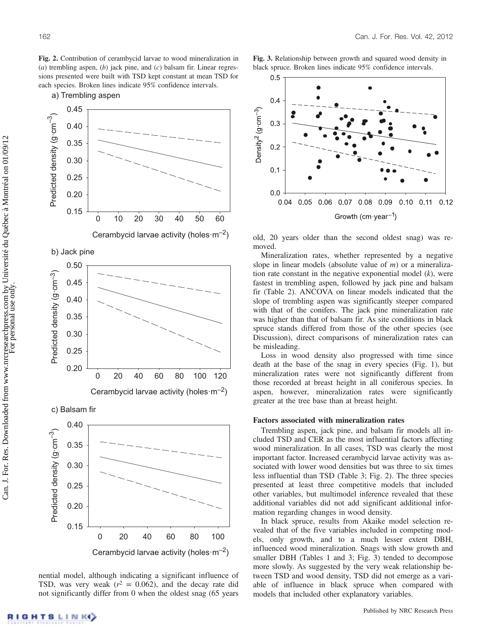Fig. 2. Contribution of cerambycid larvae to wood mineralization in (a) trembling aspen, (b) jack pine, and (c) balsam fir. Linear regressions presented were built with TSD kept constant at mean TSD for each species. Broken lines indicate 95% confidence intervals.

a) Trembling aspen



nential model, although indicating a significant influence of TSD, was very weak ( $r^2 = 0.062$ ), and the decay rate did not significantly differ from 0 when the oldest snag (65 years





old, 20 years older than the second oldest snag) was removed.

Mineralization rates, whether represented by a negative slope in linear models (absolute value of  $m$ ) or a mineralization rate constant in the negative exponential model  $(k)$ , were fastest in trembling aspen, followed by jack pine and balsam fir (Table 2). ANCOVA on linear models indicated that the slope of trembling aspen was significantly steeper compared with that of the conifers. The jack pine mineralization rate was higher than that of balsam fir. As site conditions in black spruce stands differed from those of the other species (see Discussion), direct comparisons of mineralization rates can be misleading.

Loss in wood density also progressed with time since death at the base of the snag in every species (Fig. 1), but mineralization rates were not significantly different from those recorded at breast height in all coniferous species. In aspen, however, mineralization rates were significantly greater at the tree base than at breast height.

#### Factors associated with mineralization rates

Trembling aspen, jack pine, and balsam fir models all included TSD and CER as the most influential factors affecting wood mineralization. In all cases, TSD was clearly the most important factor. Increased cerambycid larvae activity was associated with lower wood densities but was three to six times less influential than TSD (Table 3; Fig. 2). The three species presented at least three competitive models that included other variables, but multimodel inference revealed that these additional variables did not add significant additional information regarding changes in wood density.

In black spruce, results from Akaike model selection revealed that of the five variables included in competing models, only growth, and to a much lesser extent DBH, influenced wood mineralization. Snags with slow growth and smaller DBH (Tables 1 and 3; Fig. 3) tended to decompose more slowly. As suggested by the very weak relationship between TSD and wood density, TSD did not emerge as a variable of influence in black spruce when compared with models that included other explanatory variables.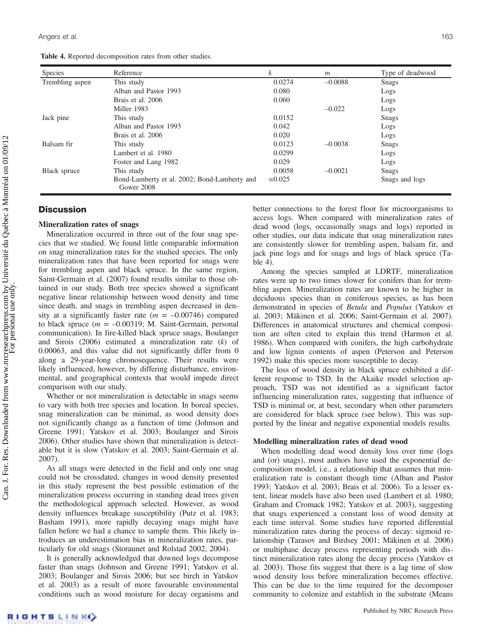| Table 4. Reported decomposition rates from other studies. |  |  |  |
|-----------------------------------------------------------|--|--|--|
|-----------------------------------------------------------|--|--|--|

| <b>Species</b>  | Reference                                                  | k               | $\boldsymbol{m}$ | Type of deadwood |
|-----------------|------------------------------------------------------------|-----------------|------------------|------------------|
| Trembling aspen | This study                                                 | 0.0274          | $-0.0088$        | Snags            |
|                 | Alban and Pastor 1993                                      | 0.080           |                  | Logs             |
|                 | Brais et al. 2006                                          | 0.060           |                  | Logs             |
|                 | Miller 1983                                                |                 | $-0.022$         | Logs             |
| Jack pine       | This study                                                 | 0.0152          |                  | Snags            |
|                 | Alban and Pastor 1993                                      | 0.042           |                  | Logs             |
|                 | Brais et al. 2006                                          | 0.020           |                  | Logs             |
| Balsam fir      | This study                                                 | 0.0123          | $-0.0038$        | Snags            |
|                 | Lambert et al. 1980                                        | 0.0299          |                  | Logs             |
|                 | Foster and Lang 1982                                       | 0.029           |                  | Logs             |
| Black spruce    | This study                                                 | 0.0058          | $-0.0021$        | Snags            |
|                 | Bond-Lamberty et al. 2002; Bond-Lamberty and<br>Gower 2008 | $\approx 0.025$ |                  | Snags and logs   |

# **Discussion**

### Mineralization rates of snags

Mineralization occurred in three out of the four snag species that we studied. We found little comparable information on snag mineralization rates for the studied species. The only mineralization rates that have been reported for snags were for trembling aspen and black spruce. In the same region, Saint-Germain et al. (2007) found results similar to those obtained in our study. Both tree species showed a significant negative linear relationship between wood density and time since death, and snags in trembling aspen decreased in density at a significantly faster rate  $(m = -0.00746)$  compared to black spruce  $(m = -0.00319; M.$  Saint-Germain, personal communication). In fire-killed black spruce snags, Boulanger and Sirois  $(2006)$  estimated a mineralization rate  $(k)$  of 0.00063, and this value did not significantly differ from 0 along a 29-year-long chronosequence. Their results were likely influenced, however, by differing disturbance, environmental, and geographical contexts that would impede direct comparison with our study.

Whether or not mineralization is detectable in snags seems to vary with both tree species and location. In boreal species, snag mineralization can be minimal, as wood density does not significantly change as a function of time (Johnson and Greene 1991; Yatskov et al. 2003; Boulanger and Sirois 2006). Other studies have shown that mineralization is detectable but it is slow (Yatskov et al. 2003; Saint-Germain et al. 2007).

As all snags were detected in the field and only one snag could not be crossdated, changes in wood density presented in this study represent the best possible estimation of the mineralization process occurring in standing dead trees given the methodological approach selected. However, as wood density influences breakage susceptibility (Putz et al. 1983; Basham 1991), more rapidly decaying snags might have fallen before we had a chance to sample them. This likely introduces an underestimation bias in mineralization rates, particularly for old snags (Storaunet and Rolstad 2002, 2004).

It is generally acknowledged that downed logs decompose faster than snags (Johnson and Greene 1991; Yatskov et al. 2003; Boulanger and Sirois 2006; but see birch in Yatskov et al. 2003) as a result of more favourable environmental conditions such as wood moisture for decay organisms and

better connections to the forest floor for microorganisms to access logs. When compared with mineralization rates of dead wood (logs, occasionally snags and logs) reported in other studies, our data indicate that snag mineralization rates are consistently slower for trembling aspen, balsam fir, and jack pine logs and for snags and logs of black spruce (Table 4).

Among the species sampled at LDRTF, mineralization rates were up to two times slower for conifers than for trembling aspen. Mineralization rates are known to be higher in deciduous species than in coniferous species, as has been demonstrated in species of Betula and Populus (Yatskov et al. 2003; Mäkinen et al. 2006; Saint-Germain et al. 2007). Differences in anatomical structures and chemical composition are often cited to explain this trend (Harmon et al. 1986). When compared with conifers, the high carbohydrate and low lignin contents of aspen (Peterson and Peterson 1992) make this species more susceptible to decay.

The loss of wood density in black spruce exhibited a different response to TSD. In the Akaike model selection approach, TSD was not identified as a significant factor influencing mineralization rates, suggesting that influence of TSD is minimal or, at best, secondary when other parameters are considered for black spruce (see below). This was supported by the linear and negative exponential models results.

#### Modelling mineralization rates of dead wood

When modelling dead wood density loss over time (logs and (or) snags), most authors have used the exponential decomposition model, i.e., a relationship that assumes that mineralization rate is constant though time (Alban and Pastor 1993; Yatskov et al. 2003; Brais et al. 2006). To a lesser extent, linear models have also been used (Lambert et al. 1980; Graham and Cromack 1982; Yatskov et al. 2003), suggesting that snags experienced a constant loss of wood density at each time interval. Some studies have reported differential mineralization rates during the process of decay: sigmoid relationship (Tarasov and Birdsey 2001; Mäkinen et al. 2006) or multiphase decay process representing periods with distinct mineralization rates along the decay process (Yatskov et al. 2003). Those fits suggest that there is a lag time of slow wood density loss before mineralization becomes effective. This can be due to the time required for the decomposer community to colonize and establish in the substrate (Means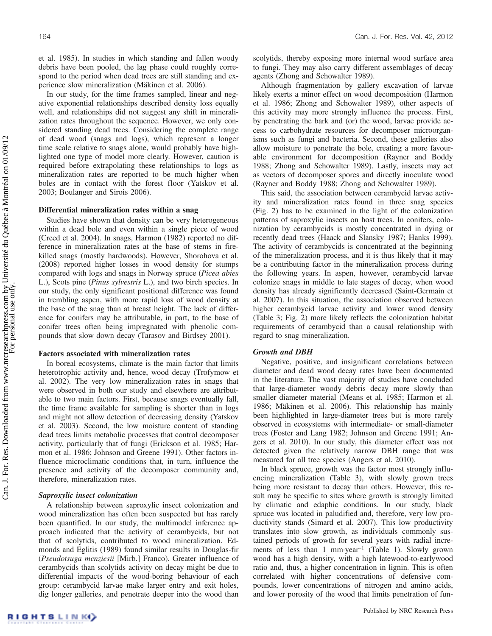et al. 1985). In studies in which standing and fallen woody debris have been pooled, the lag phase could roughly correspond to the period when dead trees are still standing and experience slow mineralization (Mäkinen et al. 2006).

In our study, for the time frames sampled, linear and negative exponential relationships described density loss equally well, and relationships did not suggest any shift in mineralization rates throughout the sequence. However, we only considered standing dead trees. Considering the complete range of dead wood (snags and logs), which represent a longer time scale relative to snags alone, would probably have highlighted one type of model more clearly. However, caution is required before extrapolating these relationships to logs as mineralization rates are reported to be much higher when boles are in contact with the forest floor (Yatskov et al. 2003; Boulanger and Sirois 2006).

### Differential mineralization rates within a snag

Studies have shown that density can be very heterogeneous within a dead bole and even within a single piece of wood (Creed et al. 2004). In snags, Harmon (1982) reported no difference in mineralization rates at the base of stems in firekilled snags (mostly hardwoods). However, Shorohova et al. (2008) reported higher losses in wood density for stumps compared with logs and snags in Norway spruce (Picea abies L.), Scots pine (Pinus sylvestris L.), and two birch species. In our study, the only significant positional difference was found in trembling aspen, with more rapid loss of wood density at the base of the snag than at breast height. The lack of difference for conifers may be attributable, in part, to the base of conifer trees often being impregnated with phenolic compounds that slow down decay (Tarasov and Birdsey 2001).

### Factors associated with mineralization rates

In boreal ecosystems, climate is the main factor that limits heterotrophic activity and, hence, wood decay (Trofymow et al. 2002). The very low mineralization rates in snags that were observed in both our study and elsewhere are attributable to two main factors. First, because snags eventually fall, the time frame available for sampling is shorter than in logs and might not allow detection of decreasing density (Yatskov et al. 2003). Second, the low moisture content of standing dead trees limits metabolic processes that control decomposer activity, particularly that of fungi (Erickson et al. 1985; Harmon et al. 1986; Johnson and Greene 1991). Other factors influence microclimatic conditions that, in turn, influence the presence and activity of the decomposer community and, therefore, mineralization rates.

### Saproxylic insect colonization

A relationship between saproxylic insect colonization and wood mineralization has often been suspected but has rarely been quantified. In our study, the multimodel inference approach indicated that the activity of cerambycids, but not that of scolytids, contributed to wood mineralization. Edmonds and Eglitis (1989) found similar results in Douglas-fir (Pseudotsuga menziesii [Mirb.] Franco). Greater influence of cerambycids than scolytids activity on decay might be due to differential impacts of the wood-boring behaviour of each group: cerambycid larvae make larger entry and exit holes, dig longer galleries, and penetrate deeper into the wood than scolytids, thereby exposing more internal wood surface area to fungi. They may also carry different assemblages of decay agents (Zhong and Schowalter 1989).

Although fragmentation by gallery excavation of larvae likely exerts a minor effect on wood decomposition (Harmon et al. 1986; Zhong and Schowalter 1989), other aspects of this activity may more strongly influence the process. First, by penetrating the bark and (or) the wood, larvae provide access to carbohydrate resources for decomposer microorganisms such as fungi and bacteria. Second, these galleries also allow moisture to penetrate the bole, creating a more favourable environment for decomposition (Rayner and Boddy 1988; Zhong and Schowalter 1989). Lastly, insects may act as vectors of decomposer spores and directly inoculate wood (Rayner and Boddy 1988; Zhong and Schowalter 1989).

This said, the association between cerambycid larvae activity and mineralization rates found in three snag species (Fig. 2) has to be examined in the light of the colonization patterns of saproxylic insects on host trees. In conifers, colonization by cerambycids is mostly concentrated in dying or recently dead trees (Haack and Slansky 1987; Hanks 1999). The activity of cerambycids is concentrated at the beginning of the mineralization process, and it is thus likely that it may be a contributing factor in the mineralization process during the following years. In aspen, however, cerambycid larvae colonize snags in middle to late stages of decay, when wood density has already significantly decreased (Saint-Germain et al. 2007). In this situation, the association observed between higher cerambycid larvae activity and lower wood density (Table 3; Fig. 2) more likely reflects the colonization habitat requirements of cerambycid than a causal relationship with regard to snag mineralization.

### Growth and DBH

Negative, positive, and insignificant correlations between diameter and dead wood decay rates have been documented in the literature. The vast majority of studies have concluded that large-diameter woody debris decay more slowly than smaller diameter material (Means et al. 1985; Harmon et al. 1986; Mäkinen et al. 2006). This relationship has mainly been highlighted in large-diameter trees but is more rarely observed in ecosystems with intermediate- or small-diameter trees (Foster and Lang 1982; Johnson and Greene 1991; Angers et al. 2010). In our study, this diameter effect was not detected given the relatively narrow DBH range that was measured for all tree species (Angers et al. 2010).

In black spruce, growth was the factor most strongly influencing mineralization (Table 3), with slowly grown trees being more resistant to decay than others. However, this result may be specific to sites where growth is strongly limited by climatic and edaphic conditions. In our study, black spruce was located in paludified and, therefore, very low productivity stands (Simard et al. 2007). This low productivity translates into slow growth, as individuals commonly sustained periods of growth for several years with radial increments of less than 1 mm·year<sup>-1</sup> (Table 1). Slowly grown wood has a high density, with a high latewood-to-earlywood ratio and, thus, a higher concentration in lignin. This is often correlated with higher concentrations of defensive compounds, lower concentrations of nitrogen and amino acids, and lower porosity of the wood that limits penetration of fun-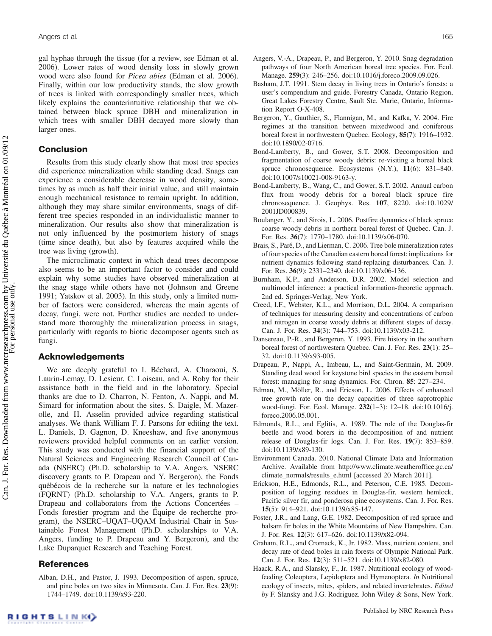gal hyphae through the tissue (for a review, see Edman et al. 2006). Lower rates of wood density loss in slowly grown wood were also found for Picea abies (Edman et al. 2006). Finally, within our low productivity stands, the slow growth of trees is linked with correspondingly smaller trees, which likely explains the counterintuitive relationship that we obtained between black spruce DBH and mineralization in which trees with smaller DBH decayed more slowly than larger ones.

# Conclusion

Results from this study clearly show that most tree species did experience mineralization while standing dead. Snags can experience a considerable decrease in wood density, sometimes by as much as half their initial value, and still maintain enough mechanical resistance to remain upright. In addition, although they may share similar environments, snags of different tree species responded in an individualistic manner to mineralization. Our results also show that mineralization is not only influenced by the postmortem history of snags (time since death), but also by features acquired while the tree was living (growth).

The microclimatic context in which dead trees decompose also seems to be an important factor to consider and could explain why some studies have observed mineralization at the snag stage while others have not (Johnson and Greene 1991; Yatskov et al. 2003). In this study, only a limited number of factors were considered, whereas the main agents of decay, fungi, were not. Further studies are needed to understand more thoroughly the mineralization process in snags, particularly with regards to biotic decomposer agents such as fungi.

### Acknowledgements

We are deeply grateful to I. Béchard, A. Charaoui, S. Laurin-Lemay, D. Lesieur, C. Loiseau, and A. Roby for their assistance both in the field and in the laboratory. Special thanks are due to D. Charron, N. Fenton, A. Nappi, and M. Simard for information about the sites. S. Daigle, M. Mazerolle, and H. Asselin provided advice regarding statistical analyses. We thank William F. J. Parsons for editing the text. L. Daniels, D. Gagnon, D. Kneeshaw, and five anonymous reviewers provided helpful comments on an earlier version. This study was conducted with the financial support of the Natural Sciences and Engineering Research Council of Canada (NSERC) (Ph.D. scholarship to V.A. Angers, NSERC discovery grants to P. Drapeau and Y. Bergeron), the Fonds québécois de la recherche sur la nature et les technologies (FQRNT) (Ph.D. scholarship to V.A. Angers, grants to P. Drapeau and collaborators from the Actions Concertées – Fonds forestier program and the Équipe de recherche program), the NSERC–UQAT–UQAM Industrial Chair in Sustainable Forest Management (Ph.D. scholarships to V.A. Angers, funding to P. Drapeau and Y. Bergeron), and the Lake Duparquet Research and Teaching Forest.

# References

Alban, D.H., and Pastor, J. 1993. Decomposition of aspen, spruce, and pine boles on two sites in Minnesota. Can. J. For. Res. 23(9): 1744–1749. doi:10.1139/x93-220.

- Angers, V.-A., Drapeau, P., and Bergeron, Y. 2010. Snag degradation pathways of four North American boreal tree species. For. Ecol. Manage. 259(3): 246–256. doi:10.1016/j.foreco.2009.09.026.
- Basham, J.T. 1991. Stem decay in living trees in Ontario's forests: a user's compendium and guide. Forestry Canada, Ontario Region, Great Lakes Forestry Centre, Sault Ste. Marie, Ontario, Information Report O-X-408.
- Bergeron, Y., Gauthier, S., Flannigan, M., and Kafka, V. 2004. Fire regimes at the transition between mixedwood and coniferous boreal forest in northwestern Quebec. Ecology, 85(7): 1916–1932. doi:10.1890/02-0716.
- Bond-Lamberty, B., and Gower, S.T. 2008. Decomposition and fragmentation of coarse woody debris: re-visiting a boreal black spruce chronosequence. Ecosystems (N.Y.), 11(6): 831–840. doi:10.1007/s10021-008-9163-y.
- Bond-Lamberty, B., Wang, C., and Gower, S.T. 2002. Annual carbon flux from woody debris for a boreal black spruce fire chronosequence. J. Geophys. Res. 107, 8220. doi:10.1029/ 2001JD000839.
- Boulanger, Y., and Sirois, L. 2006. Postfire dynamics of black spruce coarse woody debris in northern boreal forest of Quebec. Can. J. For. Res. 36(7): 1770–1780. doi:10.1139/x06-070.
- Brais, S., Paré, D., and Lierman, C. 2006. Tree bole mineralization rates of four species of the Canadian eastern boreal forest: implications for nutrient dynamics following stand-replacing disturbances. Can. J. For. Res. 36(9): 2331–2340. doi:10.1139/x06-136.
- Burnham, K.P., and Anderson, D.R. 2002. Model selection and multimodel inference: a practical information-theoretic approach. 2nd ed. Springer-Verlag, New York.
- Creed, I.F., Webster, K.L., and Morrison, D.L. 2004. A comparison of techniques for measuring density and concentrations of carbon and nitrogen in coarse woody debris at different stages of decay. Can. J. For. Res. 34(3): 744–753. doi:10.1139/x03-212.
- Dansereau, P.-R., and Bergeron, Y. 1993. Fire history in the southern boreal forest of northwestern Quebec. Can. J. For. Res. 23(1): 25– 32. doi:10.1139/x93-005.
- Drapeau, P., Nappi, A., Imbeau, L., and Saint-Germain, M. 2009. Standing dead wood for keystone bird species in the eastern boreal forest: managing for snag dynamics. For. Chron. 85: 227–234.
- Edman, M., Möller, R., and Ericson, L. 2006. Effects of enhanced tree growth rate on the decay capacities of three saprotrophic wood-fungi. For. Ecol. Manage. 232(1–3): 12–18. doi:10.1016/j. foreco.2006.05.001.
- Edmonds, R.L., and Eglitis, A. 1989. The role of the Douglas-fir beetle and wood borers in the decomposition of and nutrient release of Douglas-fir logs. Can. J. For. Res. 19(7): 853–859. doi:10.1139/x89-130.
- Environment Canada. 2010. National Climate Data and Information Archive. Available from http://www.climate.weatheroffice.gc.ca/ climate\_normals/results\_e.html [accessed 20 March 2011].
- Erickson, H.E., Edmonds, R.L., and Peterson, C.E. 1985. Decomposition of logging residues in Douglas-fir, western hemlock, Pacific silver fir, and ponderosa pine ecosystems. Can. J. For. Res. 15(5): 914–921. doi:10.1139/x85-147.
- Foster, J.R., and Lang, G.E. 1982. Decomposition of red spruce and balsam fir boles in the White Mountains of New Hampshire. Can. J. For. Res. 12(3): 617–626. doi:10.1139/x82-094.
- Graham, R.L., and Cromack, K., Jr. 1982. Mass, nutrient content, and decay rate of dead boles in rain forests of Olympic National Park. Can. J. For. Res. 12(3): 511–521. doi:10.1139/x82-080.
- Haack, R.A., and Slansky, F., Jr. 1987. Nutritional ecology of woodfeeding Coleoptera, Lepidoptera and Hymenoptera. In Nutritional ecology of insects, mites, spiders, and related invertebrates. Edited by F. Slansky and J.G. Rodriguez. John Wiley & Sons, New York.